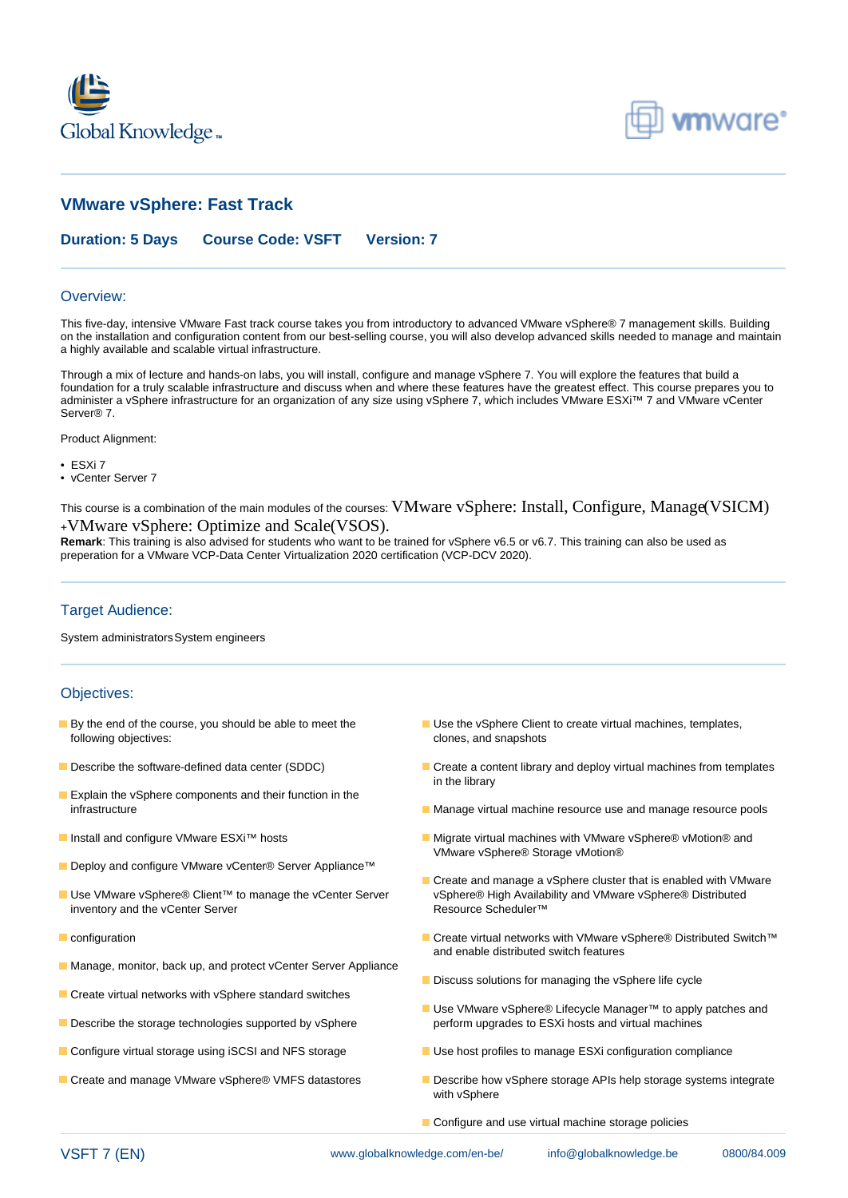



# **VMware vSphere: Fast Track**

### **Duration: 5 Days Course Code: VSFT Version: 7**

#### Overview:

This five-day, intensive VMware Fast track course takes you from introductory to advanced VMware vSphere® 7 management skills. Building on the installation and configuration content from our best-selling course, you will also develop advanced skills needed to manage and maintain a highly available and scalable virtual infrastructure.

Through a mix of lecture and hands-on labs, you will install, configure and manage vSphere 7. You will explore the features that build a foundation for a truly scalable infrastructure and discuss when and where these features have the greatest effect. This course prepares you to administer a vSphere infrastructure for an organization of any size using vSphere 7, which includes VMware ESXi™ 7 and VMware vCenter Server® 7.

Product Alignment:

- ESXi 7
- vCenter Server 7

This course is a combination of the main modules of the courses: VMware vSphere: Install, Configure, Manage(VSICM) <sup>+</sup>VMware vSphere: Optimize and Scale(VSOS).

**Remark**: This training is also advised for students who want to be trained for vSphere v6.5 or v6.7. This training can also be used as preperation for a VMware VCP-Data Center Virtualization 2020 certification (VCP-DCV 2020).

### Target Audience:

System administratorsSystem engineers

#### Objectives:

- following objectives: clones, and snapshots
- 
- **Explain the vSphere components and their function in the**
- 
- Deploy and configure VMware vCenter® Server Appliance™
- inventory and the vCenter Server Resource Scheduler™
- 
- Manage, monitor, back up, and protect vCenter Server Appliance
- Create virtual networks with vSphere standard switches
- 
- 
- 
- By the end of the course, you should be able to meet the Use the vSphere Client to create virtual machines, templates,
- Describe the software-defined data center (SDDC) Create a content library and deploy virtual machines from templates in the library
	- infrastructure **Manage virtual machine resource use and manage resource** pools
- **Install and configure VMware ESXi™ hosts** Migrate virtual machines with VMware vSphere® vMotion® and VMware vSphere® Storage vMotion®
- Create and manage a vSphere cluster that is enabled with VMware ■ Use VMware vSphere® Client™ to manage the vCenter Server vSphere® High Availability and VMware vSphere® Distributed
- configuration Create virtual networks with VMware vSphere® Distributed Switch™ and enable distributed switch features
	- Discuss solutions for managing the vSphere life cycle
- Use VMware vSphere® Lifecycle Manager™ to apply patches and Describe the storage technologies supported by vSphere perform upgrades to ESXi hosts and virtual machines
- Configure virtual storage using iSCSI and NFS storage USE Use host profiles to manage ESXi configuration compliance
- Create and manage VMware vSphere® VMFS datastores **Describe how vSphere storage APIs help storage systems integrate** with vSphere
	- Configure and use virtual machine storage policies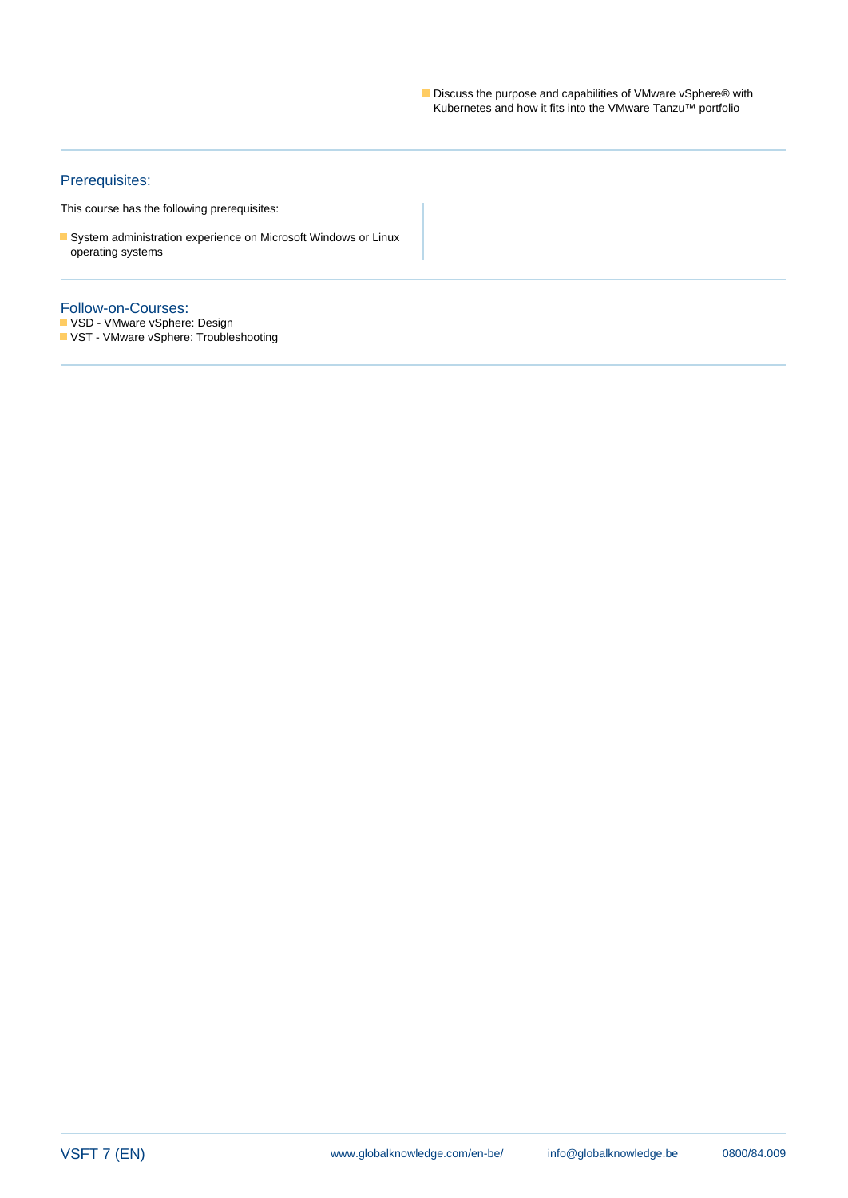Discuss the purpose and capabilities of VMware vSphere® with Kubernetes and how it fits into the VMware Tanzu™ portfolio

## Prerequisites:

This course has the following prerequisites:

System administration experience on Microsoft Windows or Linux operating systems

#### Follow-on-Courses:

VSD - VMware vSphere: Design

**VST** - VMware vSphere: Troubleshooting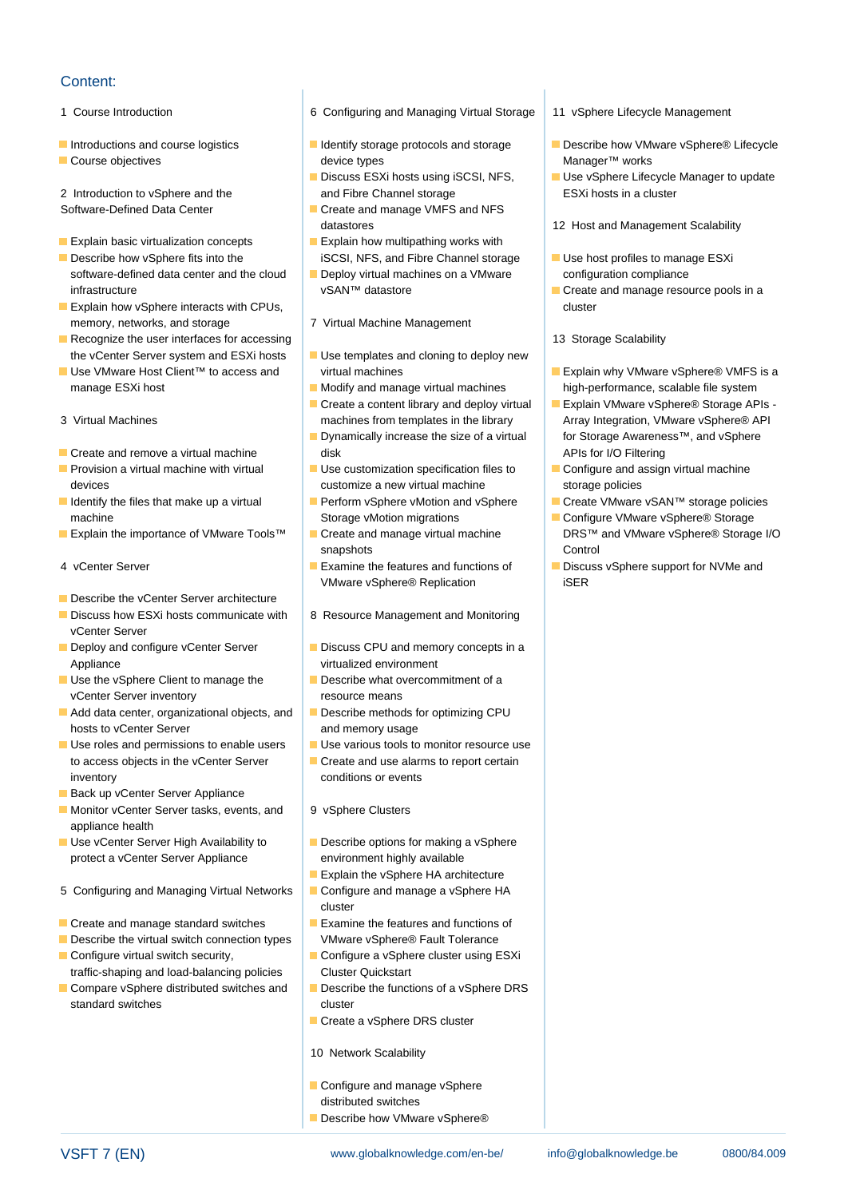## Content:

- 
- 
- 

- **Explain basic virtualization concepts** Explain how multipathing works with
- Describe how vSphere fits into the iSCSI, NFS, and Fibre Channel storage USE host profiles to manage ESXi software-defined data center and the cloud **Deploy virtual machines on a VMware** configuration compliance infrastructure vSAN™ datastore in Create and manage resource pools in a
- **Explain how vSphere interacts with CPUs, the cluster of the cluster of the cluster of the cluster of the cluster** memory, networks, and storage 7 Virtual Machine Management
- **Recognize the user interfaces for accessing line 13 Storage Scalability** 13 Storage Scalability the vCenter Server system and ESXi hosts Use templates and cloning to deploy new
- manage ESXi host **Modify and manage virtual machines** high-performance, scalable file system
- 
- 
- 
- 
- 
- 
- Describe the vCenter Server architecture
- Discuss how ESXi hosts communicate with | 8 Resource Management and Monitoring vCenter Server
- Appliance virtualized environment
- vCenter Server inventory resource means
- Add data center, organizational objects, and **Describe methods for optimizing CPU** hosts to vCenter Server **and memory usage**
- $\Box$  Use roles and permissions to enable users  $\Box$  Use various tools to monitor resource use to access objects in the vCenter Server **Create and use alarms to report certain** inventory conditions or events
- Back up vCenter Server Appliance
- Monitor vCenter Server tasks, events, and 9 vSphere Clusters appliance health
- **Use vCenter Server High Availability to Describe options for making a vSphere** protect a vCenter Server Appliance environment highly available
- 5 Configuring and Managing Virtual Networks **Configure and manage a vSphere HA**
- Create and manage standard switches Examine the features and functions of
- Describe the virtual switch connection types VMware vSphere® Fault Tolerance
- Configure virtual switch security, Configure a vSphere cluster using ESXi traffic-shaping and load-balancing policies Cluster Quickstart
- Compare vSphere distributed switches and  $\Box$  Describe the functions of a vSphere DRS standard switches cluster
- 1 Course Introduction 6 Configuring and Managing Virtual Storage 11 vSphere Lifecycle Management
- Course objectives and the course objectives and the course of the device types and the course of Manager™ works

line line line

- 2 Introduction to vSphere and the and Fibre Channel storage ESXi hosts in a cluster
- Software-Defined Data Center Create and manage VMFS and NFS
	-
	-
	-
	-
	-
	-
- Create and remove a virtual machine disk APIs for I/O Filtering and Text APIs for I/O Filtering
- **Provision a virtual machine with virtual Configure** Use customization specification files to Configure and assign virtual machine devices **customize a new virtual machine** storage policies storage policies
	- machine Storage vMotion migrations Configure VMware vSphere® Storage vMotion migrations
		- snapshots **Control**
		- VMware vSphere® Replication iSER
		-
- Deploy and configure vCenter Server Discuss CPU and memory concepts in a
- Use the vSphere Client to manage the Describe what overcommitment of a
	-
	-
	-
	-
	-
	- Explain the vSphere HA architecture
- line cluster and cluster and cluster
	-
	-
	-
	- Create a vSphere DRS cluster
	- 10 Network Scalability
	- Configure and manage vSphere distributed switches
	- Describe how VMware vSphere®
- 
- Introductions and course logistics **IDE** Identify storage protocols and storage Describe how VMware vSphere® Lifecycle
	- Discuss ESXi hosts using iSCSI, NFS, Use vSphere Lifecycle Manager to update
	- datastores 12 Host and Management Scalability
		-
		-
		-
- Use VMware Host Client™ to access and virtual machines Explain why VMware vSphere® VMFS is a
- Create a content library and deploy virtual Explain VMware vSphere® Storage APIs -3 Virtual Machines machines machines from templates in the library Array Integration, VMware vSphere® API **■** Dynamically increase the size of a virtual for Storage Awareness™, and vSphere
	-
- Identify the files that make up a virtual Perform vSphere vMotion and vSphere Create VMware vSAN™ storage policies
- **Explain the importance of VMware Tools™** Foreate and manage virtual machine DRS™ and VMware vSphere® Storage I/O
- 4 vCenter Server **Examine the features and functions of Discuss vSphere support for NVMe and**